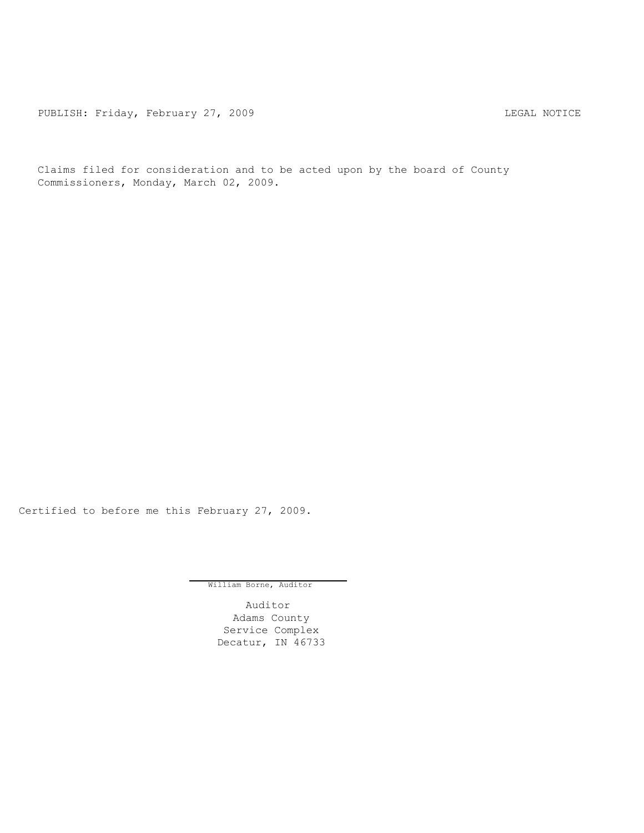PUBLISH: Friday, February 27, 2009 CHA CHANGE CONSTRUCTED AND THE LEGAL NOTICE

Claims filed for consideration and to be acted upon by the board of County Commissioners, Monday, March 02, 2009.

Certified to before me this February 27, 2009.

William Borne, Auditor

Auditor Adams County Service Complex Decatur, IN 46733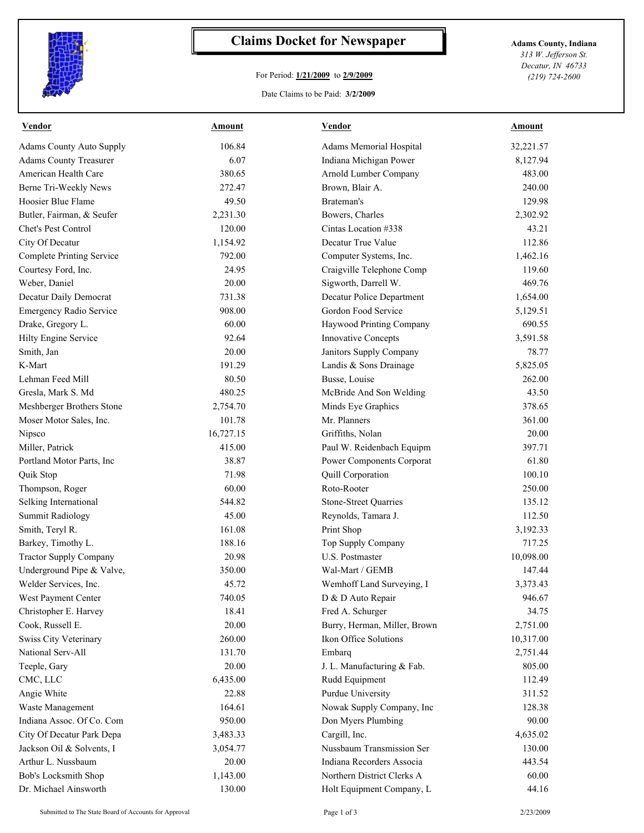

## **Claims Docket for Newspaper Adams County, Indiana**

## For Period: **1/21/2009** to **2/9/2009**

*313 W. Jefferson St. Decatur, IN 46733 (219) 724-2600*

## Date Claims to be Paid: **3/2/2009**

| <b>Vendor</b>                    | Amount    | <b>Vendor</b>                | Amount    |
|----------------------------------|-----------|------------------------------|-----------|
| <b>Adams County Auto Supply</b>  | 106.84    | Adams Memorial Hospital      | 32,221.57 |
| <b>Adams County Treasurer</b>    | 6.07      | Indiana Michigan Power       | 8,127.94  |
| American Health Care             | 380.65    | Arnold Lumber Company        | 483.00    |
| Berne Tri-Weekly News            | 272.47    | Brown, Blair A.              | 240.00    |
| Hoosier Blue Flame               | 49.50     | Brateman's                   | 129.98    |
| Butler, Fairman, & Seufer        | 2,231.30  | Bowers, Charles              | 2,302.92  |
| Chet's Pest Control              | 120.00    | Cintas Location #338         | 43.21     |
| City Of Decatur                  | 1,154.92  | Decatur True Value           | 112.86    |
| <b>Complete Printing Service</b> | 792.00    | Computer Systems, Inc.       | 1,462.16  |
| Courtesy Ford, Inc.              | 24.95     | Craigville Telephone Comp    | 119.60    |
| Weber, Daniel                    | 20.00     | Sigworth, Darrell W.         | 469.76    |
| Decatur Daily Democrat           | 731.38    | Decatur Police Department    | 1,654.00  |
| Emergency Radio Service          | 908.00    | Gordon Food Service          | 5,129.51  |
| Drake, Gregory L.                | 60.00     | Haywood Printing Company     | 690.55    |
| Hilty Engine Service             | 92.64     | <b>Innovative Concepts</b>   | 3,591.58  |
| Smith, Jan                       | 20.00     | Janitors Supply Company      | 78.77     |
| K-Mart                           | 191.29    | Landis & Sons Drainage       | 5,825.05  |
| Lehman Feed Mill                 | 80.50     | Busse, Louise                | 262.00    |
| Gresla, Mark S. Md               | 480.25    | McBride And Son Welding      | 43.50     |
| Meshberger Brothers Stone        | 2,754.70  | Minds Eye Graphics           | 378.65    |
| Moser Motor Sales, Inc.          | 101.78    | Mr. Planners                 | 361.00    |
| Nipsco                           | 16,727.15 | Griffiths, Nolan             | 20.00     |
| Miller, Patrick                  | 415.00    | Paul W. Reidenbach Equipm    | 397.71    |
| Portland Motor Parts, Inc        | 38.87     | Power Components Corporat    | 61.80     |
| Quik Stop                        | 71.98     | Quill Corporation            | 100.10    |
| Thompson, Roger                  | 60.00     | Roto-Rooter                  | 250.00    |
| Selking International            | 544.82    | <b>Stone-Street Quarries</b> | 135.12    |
| <b>Summit Radiology</b>          | 45.00     | Reynolds, Tamara J.          | 112.50    |
| Smith, Teryl R.                  | 161.08    | Print Shop                   | 3,192.33  |
| Barkey, Timothy L.               | 188.16    | Top Supply Company           | 717.25    |
| <b>Tractor Supply Company</b>    | 20.98     | <b>U.S. Postmaster</b>       | 10,098.00 |
| Underground Pipe & Valve,        | 350.00    | Wal-Mart / GEMB              | 147.44    |
| Welder Services, Inc.            | 45.72     | Wemhoff Land Surveying, I    | 3,373.43  |
| West Payment Center              | 740.05    | D & D Auto Repair            | 946.67    |
| Christopher E. Harvey            | 18.41     | Fred A. Schurger             | 34.75     |
| Cook, Russell E.                 | 20.00     | Burry, Herman, Miller, Brown | 2,751.00  |
| Swiss City Veterinary            | 260.00    | Ikon Office Solutions        | 10,317.00 |
| National Serv-All                | 131.70    | Embarq                       | 2,751.44  |
| Teeple, Gary                     | 20.00     | J. L. Manufacturing & Fab.   | 805.00    |
| CMC, LLC                         | 6,435.00  | Rudd Equipment               | 112.49    |
| Angie White                      | 22.88     | Purdue University            | 311.52    |
| Waste Management                 | 164.61    | Nowak Supply Company, Inc    | 128.38    |
| Indiana Assoc. Of Co. Com        | 950.00    | Don Myers Plumbing           | 90.00     |
| City Of Decatur Park Depa        | 3,483.33  | Cargill, Inc.                | 4,635.02  |
| Jackson Oil & Solvents, I        | 3,054.77  | Nussbaum Transmission Ser    | 130.00    |
| Arthur L. Nussbaum               | 20.00     | Indiana Recorders Associa    | 443.54    |
| Bob's Locksmith Shop             | 1,143.00  | Northern District Clerks A   | 60.00     |
| Dr. Michael Ainsworth            | 130.00    | Holt Equipment Company, L    | 44.16     |
|                                  |           |                              |           |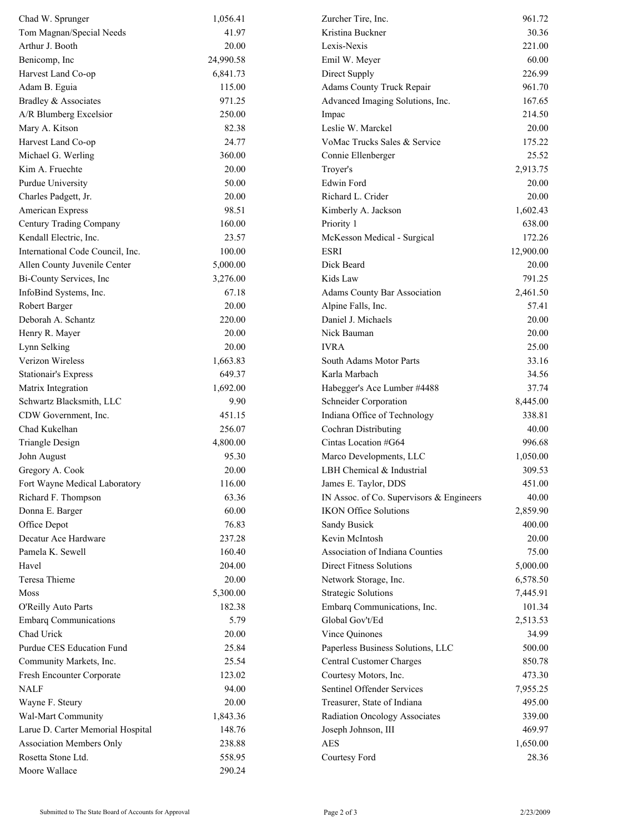| Chad W. Sprunger                  | 1,056.41  | Zurcher Tire, Inc.                       | 961.72    |
|-----------------------------------|-----------|------------------------------------------|-----------|
| Tom Magnan/Special Needs          | 41.97     | Kristina Buckner                         | 30.36     |
| Arthur J. Booth                   | 20.00     | Lexis-Nexis                              | 221.00    |
| Benicomp, Inc.                    | 24,990.58 | Emil W. Meyer                            | 60.00     |
| Harvest Land Co-op                | 6,841.73  | Direct Supply                            | 226.99    |
| Adam B. Eguia                     | 115.00    | Adams County Truck Repair                | 961.70    |
| Bradley & Associates              | 971.25    | Advanced Imaging Solutions, Inc.         | 167.65    |
| A/R Blumberg Excelsior            | 250.00    | Impac                                    | 214.50    |
| Mary A. Kitson                    | 82.38     | Leslie W. Marckel                        | 20.00     |
| Harvest Land Co-op                | 24.77     | VoMac Trucks Sales & Service             | 175.22    |
| Michael G. Werling                | 360.00    | Connie Ellenberger                       | 25.52     |
| Kim A. Fruechte                   | 20.00     | Troyer's                                 | 2,913.75  |
| Purdue University                 | 50.00     | Edwin Ford                               | 20.00     |
| Charles Padgett, Jr.              | 20.00     | Richard L. Crider                        | 20.00     |
| American Express                  | 98.51     | Kimberly A. Jackson                      | 1,602.43  |
| Century Trading Company           | 160.00    | Priority 1                               | 638.00    |
| Kendall Electric, Inc.            | 23.57     | McKesson Medical - Surgical              | 172.26    |
| International Code Council, Inc.  | 100.00    | <b>ESRI</b>                              | 12,900.00 |
| Allen County Juvenile Center      | 5,000.00  | Dick Beard                               | 20.00     |
| Bi-County Services, Inc           | 3,276.00  | Kids Law                                 | 791.25    |
| InfoBind Systems, Inc.            | 67.18     | <b>Adams County Bar Association</b>      | 2,461.50  |
| Robert Barger                     | 20.00     | Alpine Falls, Inc.                       | 57.41     |
| Deborah A. Schantz                | 220.00    | Daniel J. Michaels                       | 20.00     |
| Henry R. Mayer                    | 20.00     | Nick Bauman                              | 20.00     |
| Lynn Selking                      | 20.00     | <b>IVRA</b>                              | 25.00     |
| Verizon Wireless                  | 1,663.83  | South Adams Motor Parts                  | 33.16     |
| <b>Stationair's Express</b>       | 649.37    | Karla Marbach                            | 34.56     |
| Matrix Integration                | 1,692.00  | Habegger's Ace Lumber #4488              | 37.74     |
| Schwartz Blacksmith, LLC          | 9.90      | Schneider Corporation                    | 8,445.00  |
| CDW Government, Inc.              | 451.15    | Indiana Office of Technology             | 338.81    |
| Chad Kukelhan                     | 256.07    | Cochran Distributing                     | 40.00     |
| Triangle Design                   | 4,800.00  | Cintas Location #G64                     | 996.68    |
| John August                       | 95.30     | Marco Developments, LLC                  | 1,050.00  |
| Gregory A. Cook                   | 20.00     | LBH Chemical & Industrial                | 309.53    |
| Fort Wayne Medical Laboratory     | 116.00    | James E. Taylor, DDS                     | 451.00    |
| Richard F. Thompson               | 63.36     | IN Assoc. of Co. Supervisors & Engineers | 40.00     |
| Donna E. Barger                   | 60.00     | <b>IKON Office Solutions</b>             | 2,859.90  |
| Office Depot                      | 76.83     |                                          |           |
|                                   |           | Sandy Busick                             | 400.00    |
| Decatur Ace Hardware              | 237.28    | Kevin McIntosh                           | 20.00     |
| Pamela K. Sewell                  | 160.40    | Association of Indiana Counties          | 75.00     |
| Havel                             | 204.00    | <b>Direct Fitness Solutions</b>          | 5,000.00  |
| Teresa Thieme                     | 20.00     | Network Storage, Inc.                    | 6,578.50  |
| Moss                              | 5,300.00  | <b>Strategic Solutions</b>               | 7,445.91  |
| O'Reilly Auto Parts               | 182.38    | Embarq Communications, Inc.              | 101.34    |
| <b>Embarq Communications</b>      | 5.79      | Global Gov't/Ed                          | 2,513.53  |
| Chad Urick                        | 20.00     | Vince Quinones                           | 34.99     |
| Purdue CES Education Fund         | 25.84     | Paperless Business Solutions, LLC        | 500.00    |
| Community Markets, Inc.           | 25.54     | Central Customer Charges                 | 850.78    |
| Fresh Encounter Corporate         | 123.02    | Courtesy Motors, Inc.                    | 473.30    |
| <b>NALF</b>                       | 94.00     | Sentinel Offender Services               | 7,955.25  |
| Wayne F. Steury                   | 20.00     | Treasurer, State of Indiana              | 495.00    |
| Wal-Mart Community                | 1,843.36  | Radiation Oncology Associates            | 339.00    |
| Larue D. Carter Memorial Hospital | 148.76    | Joseph Johnson, III                      | 469.97    |
| Association Members Only          | 238.88    | <b>AES</b>                               | 1,650.00  |
| Rosetta Stone Ltd.                | 558.95    | Courtesy Ford                            | 28.36     |
| Moore Wallace                     | 290.24    |                                          |           |